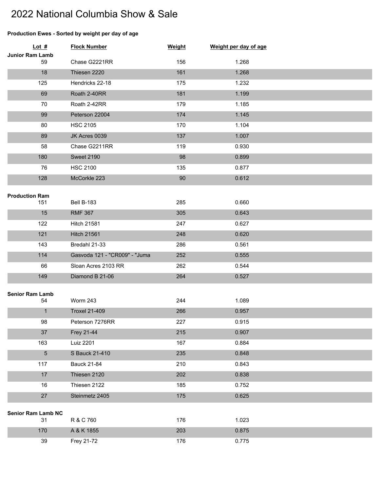## 2022 National Columbia Show & Sale

## **Production Ewes - Sorted by weight per day of age**

| Lot $#$                      | <b>Flock Number</b>           | Weight | Weight per day of age |  |
|------------------------------|-------------------------------|--------|-----------------------|--|
| Junior Ram Lamb<br>59        | Chase G2221RR                 | 156    | 1.268                 |  |
| 18                           | Thiesen 2220                  | 161    | 1.268                 |  |
| 125                          | Hendricks 22-18               | 175    | 1.232                 |  |
| 69                           | Roath 2-40RR                  | 181    | 1.199                 |  |
| 70                           | Roath 2-42RR                  | 179    | 1.185                 |  |
| 99                           | Peterson 22004                | 174    | 1.145                 |  |
| 80                           | <b>HSC 2105</b>               | 170    | 1.104                 |  |
| 89                           | JK Acres 0039                 | 137    | 1.007                 |  |
| 58                           | Chase G2211RR                 | 119    | 0.930                 |  |
| 180                          | <b>Sweet 2190</b>             | 98     | 0.899                 |  |
| 76                           | <b>HSC 2100</b>               | 135    | 0.877                 |  |
| 128                          | McCorkle 223                  | 90     | 0.612                 |  |
|                              |                               |        |                       |  |
| <b>Production Ram</b>        |                               |        |                       |  |
| 151                          | <b>Bell B-183</b>             | 285    | 0.660                 |  |
| 15                           | <b>RMF 367</b>                | 305    | 0.643                 |  |
| 122                          | <b>Hitch 21581</b>            | 247    | 0.627                 |  |
| 121                          | <b>Hitch 21561</b>            | 248    | 0.620                 |  |
| 143                          | Bredahl 21-33                 | 286    | 0.561                 |  |
| 114                          | Gasvoda 121 - "CR009" - "Juma | 252    | 0.555                 |  |
| 66                           | Sloan Acres 2103 RR           | 262    | 0.544                 |  |
| 149                          | Diamond B 21-06               | 264    | 0.527                 |  |
|                              |                               |        |                       |  |
| <b>Senior Ram Lamb</b><br>54 | Worm 243                      | 244    | 1.089                 |  |
| $\mathbf{1}$                 | <b>Troxel 21-409</b>          | 266    | 0.957                 |  |
| 98                           | Peterson 7276RR               | 227    | 0.915                 |  |
| 37                           | Frey 21-44                    | 215    | 0.907                 |  |
| 163                          | Luiz 2201                     | 167    | 0.884                 |  |
| $\overline{5}$               | S Bauck 21-410                | 235    | 0.848                 |  |
| 117                          | <b>Bauck 21-84</b>            | 210    | 0.843                 |  |
| 17                           | Thiesen 2120                  | 202    | 0.838                 |  |
| 16                           | Thiesen 2122                  | 185    | 0.752                 |  |
| 27                           | Steinmetz 2405                | 175    | 0.625                 |  |
|                              |                               |        |                       |  |
| <b>Senior Ram Lamb NC</b>    |                               |        |                       |  |
| 31                           | R & C 760                     | 176    | 1.023                 |  |
| 170                          | A & K 1855                    | 203    | 0.875                 |  |
| 39                           | Frey 21-72                    | 176    | 0.775                 |  |